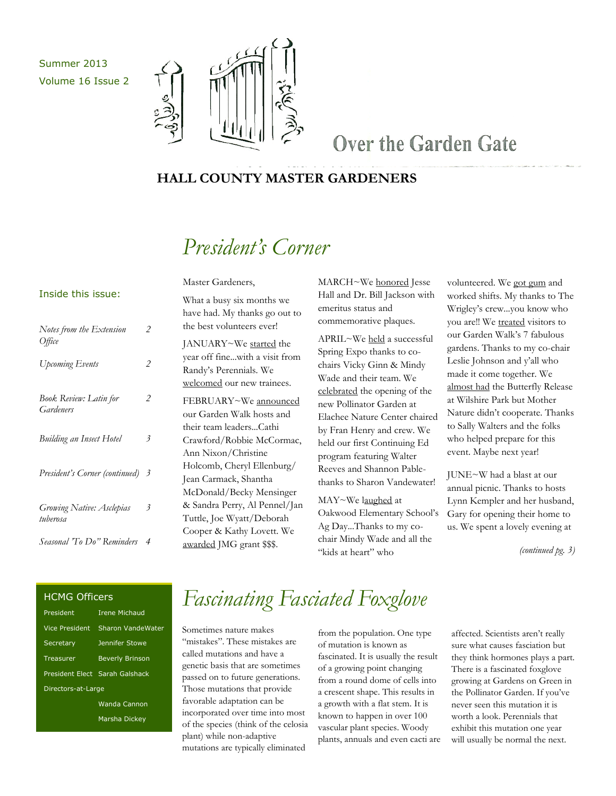Summer 2013 Volume 16 Issue 2



### Over the Garden Gate

### **HALL COUNTY MASTER GARDENERS**

## *President's Corner*

#### Inside this issue:

| Notes from the Extension<br>Office         | 2              |
|--------------------------------------------|----------------|
| Upcoming Events                            | 2              |
| <b>Book Review: Latin for</b><br>Gardeners | 2              |
| <b>Building an Insect Hotel</b>            | $\mathfrak{Z}$ |
| President's Corner (continued)             | $\mathcal{Z}$  |
| Growing Native: Asclepias<br>tuberosa      | 3              |
| Seasonal 'To Do" Reminders                 | $\overline{4}$ |

What a busy six months we have had. My thanks go out to the best volunteers ever!

Master Gardeners,

JANUARY~We started the year off fine...with a visit from Randy's Perennials. We welcomed our new trainees. FEBRUARY~We announced our Garden Walk hosts and their team leaders...Cathi Crawford/Robbie McCormac, Ann Nixon/Christine Holcomb, Cheryl Ellenburg/ Jean Carmack, Shantha McDonald/Becky Mensinger & Sandra Perry, Al Pennel/Jan Tuttle, Joe Wyatt/Deborah Cooper & Kathy Lovett. We awarded JMG grant \$\$\$.

MARCH~We honored Jesse Hall and Dr. Bill Jackson with emeritus status and commemorative plaques.

APRIL~We held a successful Spring Expo thanks to cochairs Vicky Ginn & Mindy Wade and their team. We celebrated the opening of the new Pollinator Garden at Elachee Nature Center chaired by Fran Henry and crew. We held our first Continuing Ed program featuring Walter Reeves and Shannon Pablethanks to Sharon Vandewater!

MAY~We laughed at Oakwood Elementary School's Ag Day...Thanks to my cochair Mindy Wade and all the "kids at heart" who

volunteered. We got gum and worked shifts. My thanks to The Wrigley's crew...you know who you are!! We treated visitors to our Garden Walk's 7 fabulous gardens. Thanks to my co-chair Leslie Johnson and y'all who made it come together. We almost had the Butterfly Release at Wilshire Park but Mother Nature didn't cooperate. Thanks to Sally Walters and the folks who helped prepare for this event. Maybe next year!

JUNE~W had a blast at our annual picnic. Thanks to hosts Lynn Kempler and her husband, Gary for opening their home to us. We spent a lovely evening at

*(continued pg. 3)*

#### HCMG Officers

| President          | <b>Irene Michaud</b>           |  |
|--------------------|--------------------------------|--|
| Vice President     | Sharon VandeWater              |  |
| Secretary          | Jennifer Stowe                 |  |
| Treasurer          | <b>Beverly Brinson</b>         |  |
|                    | President Elect Sarah Galshack |  |
| Directors-at-Large |                                |  |
|                    | Wanda Cannon                   |  |
|                    | Marsha Dickey                  |  |

# *Fascinating Fasciated Foxglove*

Sometimes nature makes "mistakes". These mistakes are called mutations and have a genetic basis that are sometimes passed on to future generations. Those mutations that provide favorable adaptation can be incorporated over time into most of the species (think of the celosia plant) while non-adaptive mutations are typically eliminated

from the population. One type of mutation is known as fascinated. It is usually the result of a growing point changing from a round dome of cells into a crescent shape. This results in a growth with a flat stem. It is known to happen in over 100 vascular plant species. Woody plants, annuals and even cacti are affected. Scientists aren't really sure what causes fasciation but they think hormones plays a part. There is a fascinated foxglove growing at Gardens on Green in the Pollinator Garden. If you've never seen this mutation it is worth a look. Perennials that exhibit this mutation one year will usually be normal the next.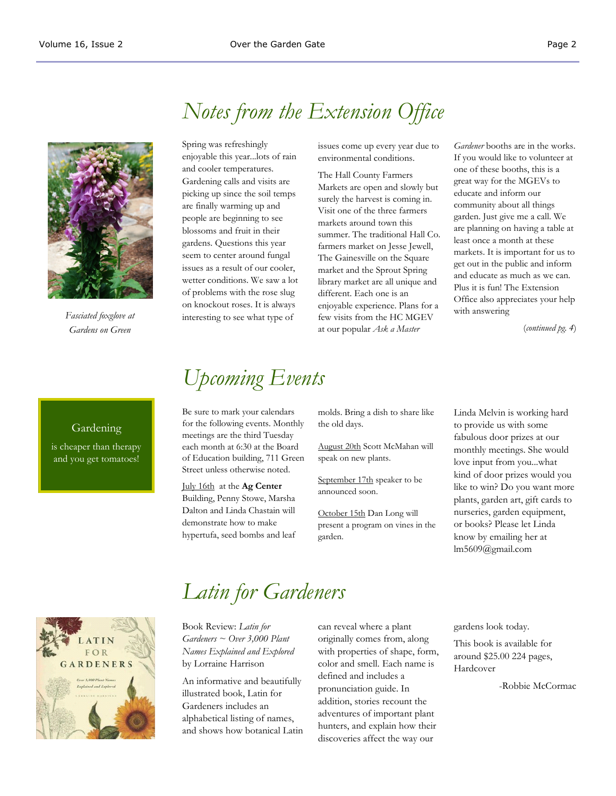

*Fasciated foxglove at Gardens on Green*

### *Notes from the Extension Office*

Spring was refreshingly enjoyable this year...lots of rain and cooler temperatures. Gardening calls and visits are picking up since the soil temps are finally warming up and people are beginning to see blossoms and fruit in their gardens. Questions this year seem to center around fungal issues as a result of our cooler, wetter conditions. We saw a lot of problems with the rose slug on knockout roses. It is always interesting to see what type of

issues come up every year due to environmental conditions.

The Hall County Farmers Markets are open and slowly but surely the harvest is coming in. Visit one of the three farmers markets around town this summer. The traditional Hall Co. farmers market on Jesse Jewell, The Gainesville on the Square market and the Sprout Spring library market are all unique and different. Each one is an enjoyable experience. Plans for a few visits from the HC MGEV at our popular *Ask a Master* 

*Gardener* booths are in the works. If you would like to volunteer at one of these booths, this is a great way for the MGEVs to educate and inform our community about all things garden. Just give me a call. We are planning on having a table at least once a month at these markets. It is important for us to get out in the public and inform and educate as much as we can. Plus it is fun! The Extension Office also appreciates your help with answering

(*continued pg. 4*)

#### Gardening

is cheaper than therapy and you get tomatoes!

## *Upcoming Events*

Be sure to mark your calendars for the following events. Monthly meetings are the third Tuesday each month at 6:30 at the Board of Education building, 711 Green Street unless otherwise noted.

July 16th at the **Ag Center**  Building, Penny Stowe, Marsha Dalton and Linda Chastain will demonstrate how to make hypertufa, seed bombs and leaf molds. Bring a dish to share like the old days.

August 20th Scott McMahan will speak on new plants.

September 17th speaker to be announced soon.

October 15th Dan Long will present a program on vines in the garden.

Linda Melvin is working hard to provide us with some fabulous door prizes at our monthly meetings. She would love input from you...what kind of door prizes would you like to win? Do you want more plants, garden art, gift cards to nurseries, garden equipment, or books? Please let Linda know by emailing her at lm5609@gmail.com



# *Latin for Gardeners*

Book Review: *Latin for Gardeners ~ Over 3,000 Plant Names Explained and Explored*  by Lorraine Harrison An informative and beautifully illustrated book, Latin for Gardeners includes an alphabetical listing of names, and shows how botanical Latin can reveal where a plant originally comes from, along with properties of shape, form, color and smell. Each name is defined and includes a pronunciation guide. In addition, stories recount the adventures of important plant hunters, and explain how their discoveries affect the way our

gardens look today.

This book is available for around \$25.00 224 pages, Hardcover

-Robbie McCormac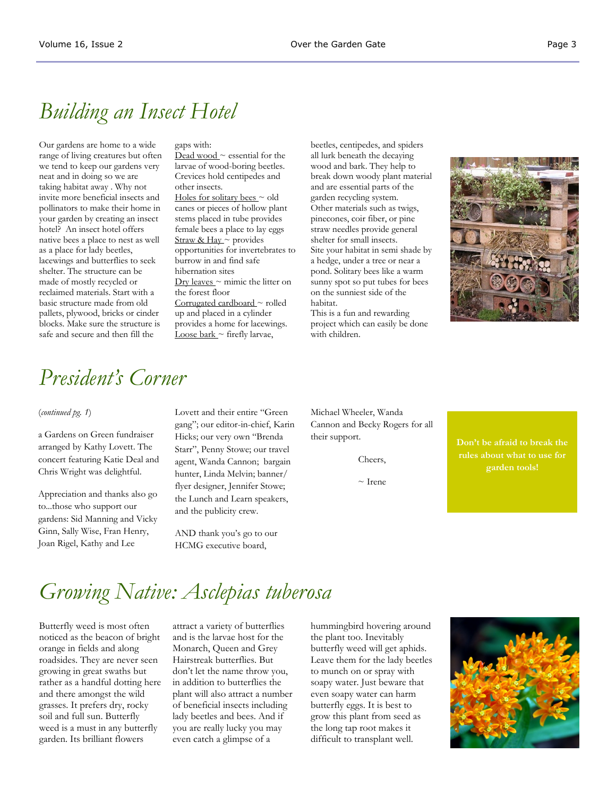### *Building an Insect Hotel*

Our gardens are home to a wide range of living creatures but often we tend to keep our gardens very neat and in doing so we are taking habitat away . Why not invite more beneficial insects and pollinators to make their home in your garden by creating an insect hotel? An insect hotel offers native bees a place to nest as well as a place for lady beetles, lacewings and butterflies to seek shelter. The structure can be made of mostly recycled or reclaimed materials. Start with a basic structure made from old pallets, plywood, bricks or cinder blocks. Make sure the structure is safe and secure and then fill the

#### gaps with:

Dead wood  $\sim$  essential for the larvae of wood-boring beetles. Crevices hold centipedes and other insects. Holes for solitary bees  $\sim$  old canes or pieces of hollow plant stems placed in tube provides female bees a place to lay eggs Straw & Hay ~ provides opportunities for invertebrates to burrow in and find safe hibernation sites  $Dry$  leaves  $\sim$  mimic the litter on the forest floor Corrugated cardboard ~ rolled up and placed in a cylinder provides a home for lacewings. Loose bark  $\sim$  firefly larvae,

beetles, centipedes, and spiders all lurk beneath the decaying wood and bark. They help to break down woody plant material and are essential parts of the garden recycling system. Other materials such as twigs, pinecones, coir fiber, or pine straw needles provide general shelter for small insects. Site your habitat in semi shade by a hedge, under a tree or near a pond. Solitary bees like a warm sunny spot so put tubes for bees on the sunniest side of the habitat.

This is a fun and rewarding project which can easily be done with children.



### *President's Corner*

#### (*continued pg. 1*)

a Gardens on Green fundraiser arranged by Kathy Lovett. The concert featuring Katie Deal and Chris Wright was delightful.

Appreciation and thanks also go to...those who support our gardens: Sid Manning and Vicky Ginn, Sally Wise, Fran Henry, Joan Rigel, Kathy and Lee

Lovett and their entire "Green gang"; our editor-in-chief, Karin Hicks; our very own "Brenda Starr", Penny Stowe; our travel agent, Wanda Cannon; bargain hunter, Linda Melvin; banner/ flyer designer, Jennifer Stowe; the Lunch and Learn speakers, and the publicity crew.

AND thank you's go to our HCMG executive board,

Michael Wheeler, Wanda Cannon and Becky Rogers for all their support.

Cheers,

 $\sim$  Irene

**Don't be afraid to break the rules about what to use for garden tools!**

# *Growing Native: Asclepias tuberosa*

Butterfly weed is most often noticed as the beacon of bright orange in fields and along roadsides. They are never seen growing in great swaths but rather as a handful dotting here and there amongst the wild grasses. It prefers dry, rocky soil and full sun. Butterfly weed is a must in any butterfly garden. Its brilliant flowers

attract a variety of butterflies and is the larvae host for the Monarch, Queen and Grey Hairstreak butterflies. But don't let the name throw you, in addition to butterflies the plant will also attract a number of beneficial insects including lady beetles and bees. And if you are really lucky you may even catch a glimpse of a

hummingbird hovering around the plant too. Inevitably butterfly weed will get aphids. Leave them for the lady beetles to munch on or spray with soapy water. Just beware that even soapy water can harm butterfly eggs. It is best to grow this plant from seed as the long tap root makes it difficult to transplant well.